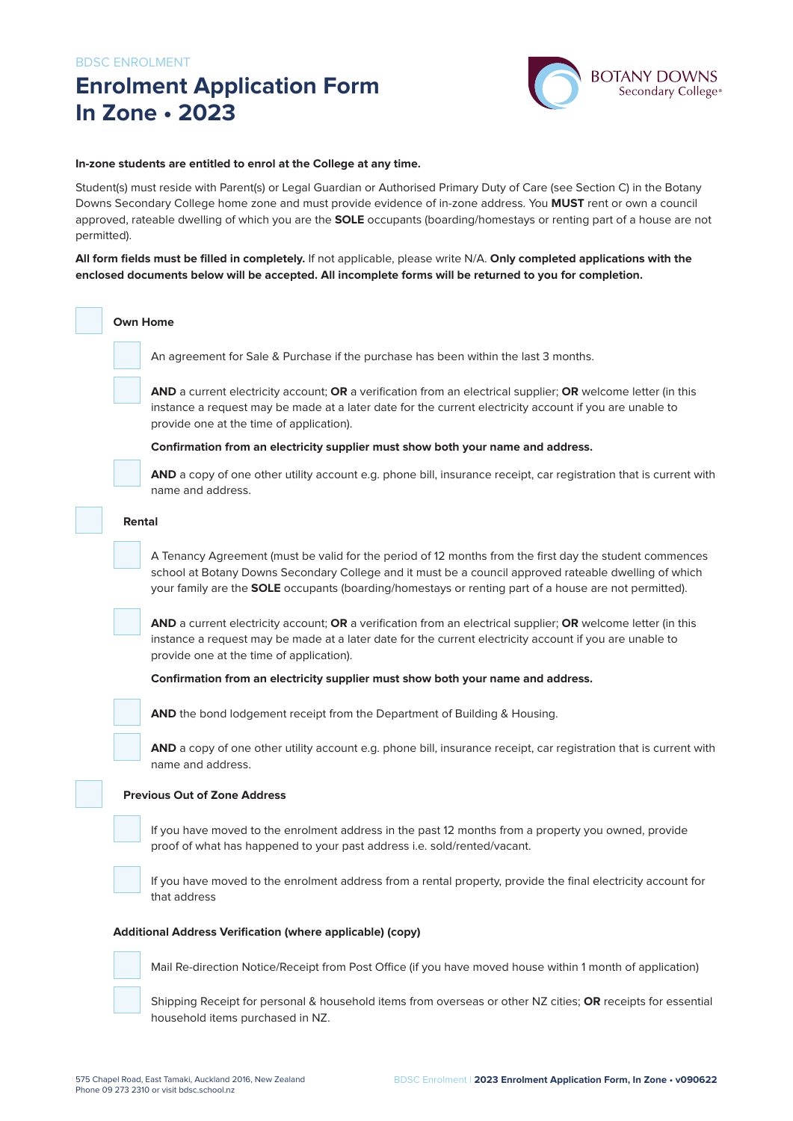# **Enrolment Application Form In Zone • 2023**



#### **In-zone students are entitled to enrol at the College at any time.**

Student(s) must reside with Parent(s) or Legal Guardian or Authorised Primary Duty of Care (see Section C) in the Botany Downs Secondary College home zone and must provide evidence of in-zone address. You **MUST** rent or own a council approved, rateable dwelling of which you are the **SOLE** occupants (boarding/homestays or renting part of a house are not permitted).

**All form fields must be filled in completely.** If not applicable, please write N/A. **Only completed applications with the enclosed documents below will be accepted. All incomplete forms will be returned to you for completion.**

#### **Own Home**

An agreement for Sale & Purchase if the purchase has been within the last 3 months.

**AND** a current electricity account; **OR** a verification from an electrical supplier; **OR** welcome letter (in this instance a request may be made at a later date for the current electricity account if you are unable to provide one at the time of application).

#### **Confirmation from an electricity supplier must show both your name and address.**



**AND** a copy of one other utility account e.g. phone bill, insurance receipt, car registration that is current with name and address.

#### **Rental**

A Tenancy Agreement (must be valid for the period of 12 months from the first day the student commences school at Botany Downs Secondary College and it must be a council approved rateable dwelling of which your family are the **SOLE** occupants (boarding/homestays or renting part of a house are not permitted).

**AND** a current electricity account; **OR** a verification from an electrical supplier; **OR** welcome letter (in this instance a request may be made at a later date for the current electricity account if you are unable to provide one at the time of application).

#### **Confirmation from an electricity supplier must show both your name and address.**

**AND** the bond lodgement receipt from the Department of Building & Housing.

**AND** a copy of one other utility account e.g. phone bill, insurance receipt, car registration that is current with name and address.

#### **Previous Out of Zone Address**

If you have moved to the enrolment address in the past 12 months from a property you owned, provide proof of what has happened to your past address i.e. sold/rented/vacant.



If you have moved to the enrolment address from a rental property, provide the final electricity account for that address

#### **Additional Address Verification (where applicable) (copy)**



Mail Re-direction Notice/Receipt from Post Office (if you have moved house within 1 month of application)

Shipping Receipt for personal & household items from overseas or other NZ cities; **OR** receipts for essential household items purchased in NZ.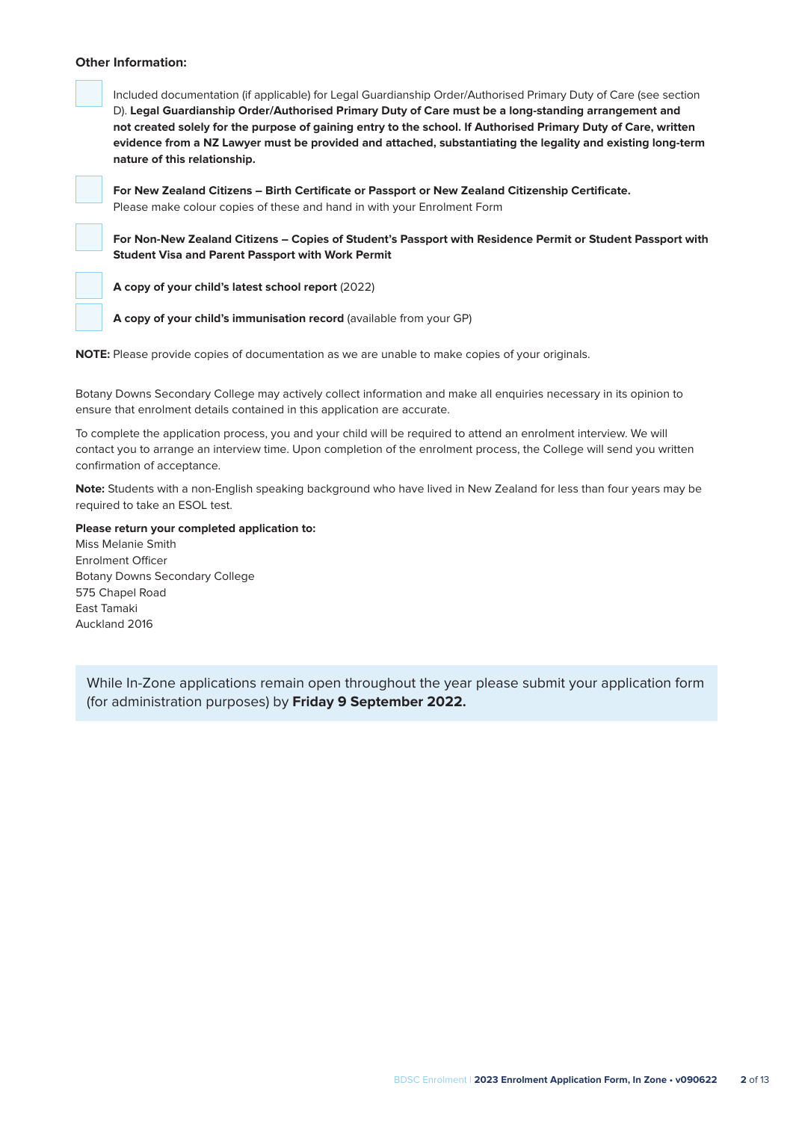#### **Other Information:**



Included documentation (if applicable) for Legal Guardianship Order/Authorised Primary Duty of Care (see section D). **Legal Guardianship Order/Authorised Primary Duty of Care must be a long-standing arrangement and not created solely for the purpose of gaining entry to the school. If Authorised Primary Duty of Care, written evidence from a NZ Lawyer must be provided and attached, substantiating the legality and existing long-term nature of this relationship.**

**For New Zealand Citizens – Birth Certificate or Passport or New Zealand Citizenship Certificate.** Please make colour copies of these and hand in with your Enrolment Form

**For Non-New Zealand Citizens – Copies of Student's Passport with Residence Permit or Student Passport with Student Visa and Parent Passport with Work Permit**

**A copy of your child's latest school report** (2022)



**NOTE:** Please provide copies of documentation as we are unable to make copies of your originals.

Botany Downs Secondary College may actively collect information and make all enquiries necessary in its opinion to ensure that enrolment details contained in this application are accurate.

To complete the application process, you and your child will be required to attend an enrolment interview. We will contact you to arrange an interview time. Upon completion of the enrolment process, the College will send you written confirmation of acceptance.

**Note:** Students with a non-English speaking background who have lived in New Zealand for less than four years may be required to take an ESOL test.

#### **Please return your completed application to:**

Miss Melanie Smith Enrolment Officer Botany Downs Secondary College 575 Chapel Road East Tamaki Auckland 2016

While In-Zone applications remain open throughout the year please submit your application form (for administration purposes) by **Friday 9 September 2022.**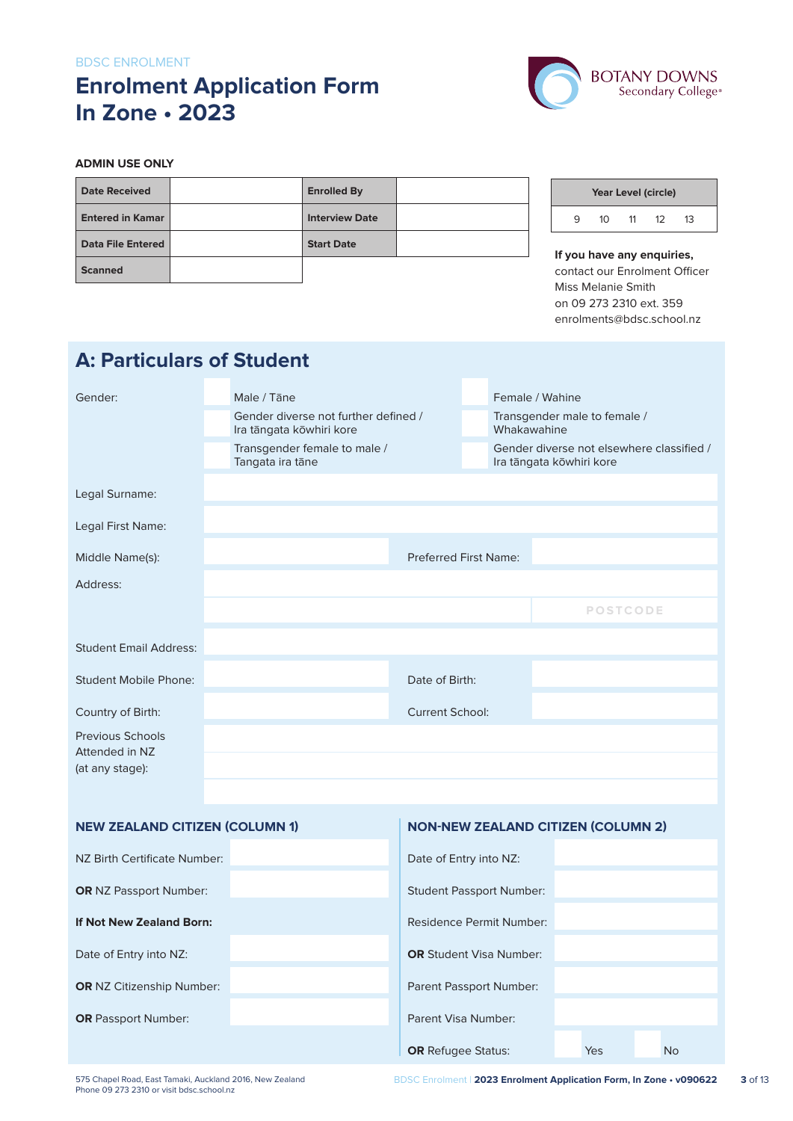#### BDSC ENROLMENT

# **Enrolment Application Form In Zone • 2023**

**A: Particulars of Student**



#### **ADMIN USE ONLY**

| <b>Date Received</b>     | <b>Enrolled By</b>    |  |
|--------------------------|-----------------------|--|
| <b>Entered in Kamar</b>  | <b>Interview Date</b> |  |
| <b>Data File Entered</b> | <b>Start Date</b>     |  |
| <b>Scanned</b>           |                       |  |

## **Year Level (circle)** 9 10 11 12 13

**If you have any enquiries,** contact our Enrolment Officer Miss Melanie Smith on 09 273 2310 ext. 359 enrolments@bdsc.school.nz

| -                                         |  |                                                                  |                              |                                                                       |                                             |                                           |  |
|-------------------------------------------|--|------------------------------------------------------------------|------------------------------|-----------------------------------------------------------------------|---------------------------------------------|-------------------------------------------|--|
| Gender:                                   |  | Male / Tāne                                                      |                              |                                                                       | Female / Wahine                             |                                           |  |
|                                           |  | Gender diverse not further defined /<br>Ira tāngata kōwhiri kore |                              |                                                                       | Transgender male to female /<br>Whakawahine |                                           |  |
|                                           |  | Transgender female to male /<br>Tangata ira tāne                 |                              | Gender diverse not elsewhere classified /<br>Ira tāngata kōwhiri kore |                                             |                                           |  |
| Legal Surname:                            |  |                                                                  |                              |                                                                       |                                             |                                           |  |
| Legal First Name:                         |  |                                                                  |                              |                                                                       |                                             |                                           |  |
| Middle Name(s):                           |  |                                                                  | <b>Preferred First Name:</b> |                                                                       |                                             |                                           |  |
| Address:                                  |  |                                                                  |                              |                                                                       |                                             |                                           |  |
|                                           |  |                                                                  |                              |                                                                       |                                             | <b>POSTCODE</b>                           |  |
| <b>Student Email Address:</b>             |  |                                                                  |                              |                                                                       |                                             |                                           |  |
| <b>Student Mobile Phone:</b>              |  |                                                                  | Date of Birth:               |                                                                       |                                             |                                           |  |
| Country of Birth:                         |  |                                                                  | <b>Current School:</b>       |                                                                       |                                             |                                           |  |
| <b>Previous Schools</b><br>Attended in NZ |  |                                                                  |                              |                                                                       |                                             |                                           |  |
| (at any stage):                           |  |                                                                  |                              |                                                                       |                                             |                                           |  |
|                                           |  |                                                                  |                              |                                                                       |                                             |                                           |  |
| <b>NEW ZEALAND CITIZEN (COLUMN 1)</b>     |  |                                                                  |                              |                                                                       |                                             | <b>NON-NEW ZEALAND CITIZEN (COLUMN 2)</b> |  |
| NZ Birth Certificate Number:              |  |                                                                  | Date of Entry into NZ:       |                                                                       |                                             |                                           |  |
| <b>OR NZ Passport Number:</b>             |  |                                                                  |                              |                                                                       | <b>Student Passport Number:</b>             |                                           |  |
| If Not New Zealand Born:                  |  |                                                                  |                              |                                                                       | Residence Permit Number:                    |                                           |  |
| Date of Entry into NZ:                    |  |                                                                  |                              |                                                                       | <b>OR</b> Student Visa Number:              |                                           |  |
| OR NZ Citizenship Number:                 |  |                                                                  | Parent Passport Number:      |                                                                       |                                             |                                           |  |
| <b>OR</b> Passport Number:                |  |                                                                  | Parent Visa Number:          |                                                                       |                                             |                                           |  |

**OR** Refugee Status: Yes No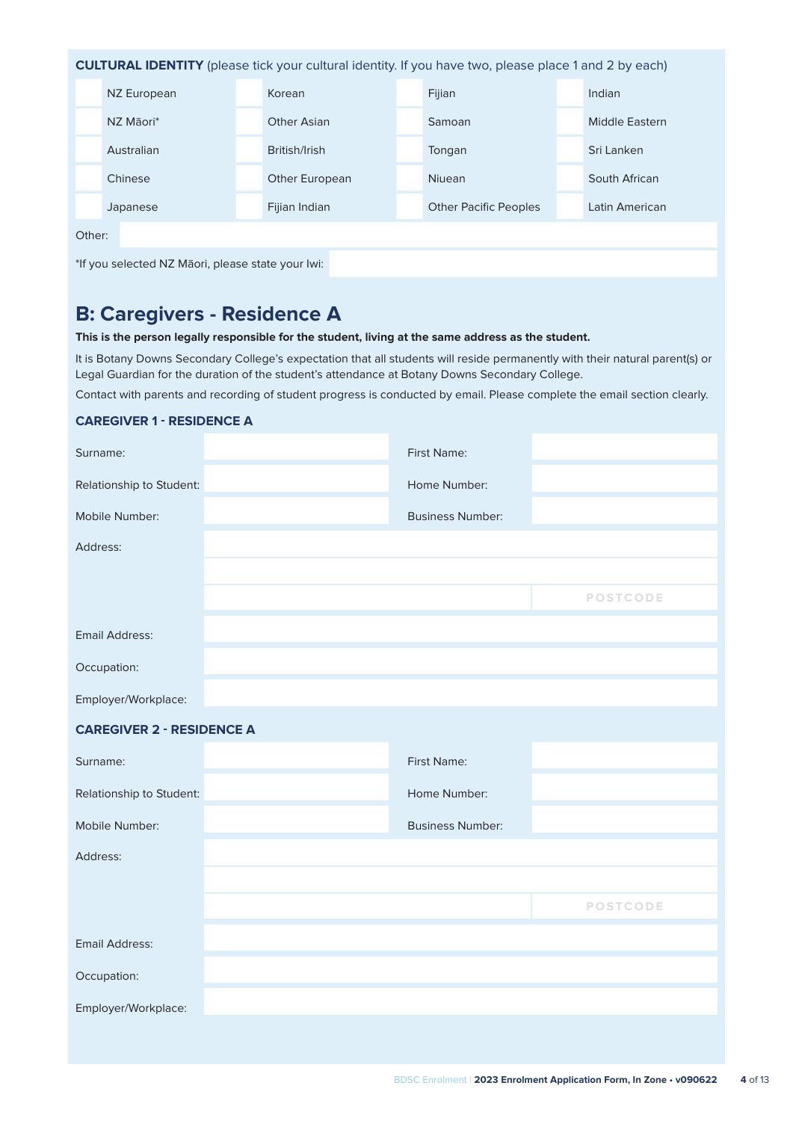**CULTURAL IDENTITY** (please tick your cultural identity. If you have two, please place 1 and 2 by each) NZ European Korean Korean Fijian Indian Indian

|        | NZ Māori*  | <b>Other Asian</b> | Samoan                       | <b>Middle Eastern</b> |
|--------|------------|--------------------|------------------------------|-----------------------|
|        | Australian | British/Irish      | Tongan                       | Sri Lanken            |
|        | Chinese    | Other European     | <b>Niuean</b>                | South African         |
|        | Japanese   | Fijian Indian      | <b>Other Pacific Peoples</b> | Latin American        |
| Other: |            |                    |                              |                       |
|        |            |                    |                              |                       |

\*If you selected NZ Māori, please state your Iwi:

# **B: Caregivers - Residence A**

**This is the person legally responsible for the student, living at the same address as the student.**

It is Botany Downs Secondary College's expectation that all students will reside permanently with their natural parent(s) or Legal Guardian for the duration of the student's attendance at Botany Downs Secondary College.

Contact with parents and recording of student progress is conducted by email. Please complete the email section clearly.

| <b>CAREGIVER 1 - RESIDENCE A</b> |
|----------------------------------|
|----------------------------------|

| Surname:                         | First Name:             |                 |
|----------------------------------|-------------------------|-----------------|
| Relationship to Student:         | Home Number:            |                 |
| Mobile Number:                   | <b>Business Number:</b> |                 |
| Address:                         |                         |                 |
|                                  |                         |                 |
|                                  |                         | <b>POSTCODE</b> |
| <b>Email Address:</b>            |                         |                 |
| Occupation:                      |                         |                 |
| Employer/Workplace:              |                         |                 |
| <b>CAREGIVER 2 - RESIDENCE A</b> |                         |                 |
|                                  |                         |                 |
| Surname:                         | First Name:             |                 |
| Relationship to Student:         | Home Number:            |                 |
| Mobile Number:                   | <b>Business Number:</b> |                 |
| Address:                         |                         |                 |
|                                  |                         |                 |
|                                  |                         | <b>POSTCODE</b> |
| <b>Email Address:</b>            |                         |                 |
| Occupation:                      |                         |                 |
| Employer/Workplace:              |                         |                 |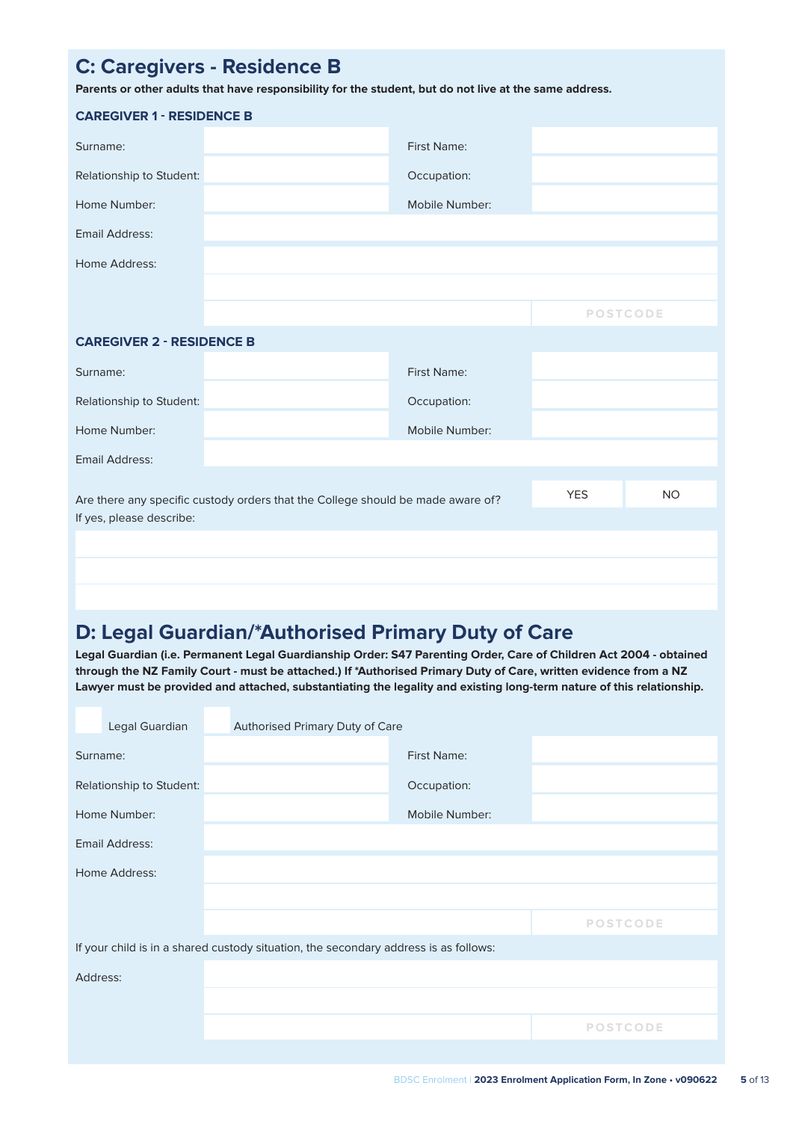# **C: Caregivers - Residence B Parents or other adults that have responsibility for the student, but do not live at the same address. CAREGIVER 1 - RESIDENCE B** Surname: Executive Contract Name: Executive Contract Name: Executive Contract Name: Executive Contract Name: Executive Contract Name: Executive Contract Name: Executive Contract Name: Executive Contract Name: Executive Con Relationship to Student: Contract Contract Contract Contract Occupation: **Home Number:** Mobile Number: Mobile Number: Email Address: Home Address: **POSTCODE CAREGIVER 2 - RESIDENCE B** Surname: First Name: Relationship to Student: **Occupation: COCCUPATION: Occupation:** Home Number: Mobile Number: Mobile Number:

Email Address:

Are there any specific custody orders that the College should be made aware of? YES YES NO If yes, please describe:

### **D: Legal Guardian/\*Authorised Primary Duty of Care**

**Legal Guardian (i.e. Permanent Legal Guardianship Order: S47 Parenting Order, Care of Children Act 2004 - obtained through the NZ Family Court - must be attached.) If \*Authorised Primary Duty of Care, written evidence from a NZ Lawyer must be provided and attached, substantiating the legality and existing long-term nature of this relationship.**

|          | Legal Guardian           | Authorised Primary Duty of Care                                                      |                |                 |
|----------|--------------------------|--------------------------------------------------------------------------------------|----------------|-----------------|
| Surname: |                          |                                                                                      | First Name:    |                 |
|          | Relationship to Student: |                                                                                      | Occupation:    |                 |
|          | Home Number:             |                                                                                      | Mobile Number: |                 |
|          | Email Address:           |                                                                                      |                |                 |
|          | Home Address:            |                                                                                      |                |                 |
|          |                          |                                                                                      |                |                 |
|          |                          |                                                                                      |                | <b>POSTCODE</b> |
|          |                          | If your child is in a shared custody situation, the secondary address is as follows: |                |                 |
| Address: |                          |                                                                                      |                |                 |
|          |                          |                                                                                      |                |                 |
|          |                          |                                                                                      |                | <b>POSTCODE</b> |
|          |                          |                                                                                      |                |                 |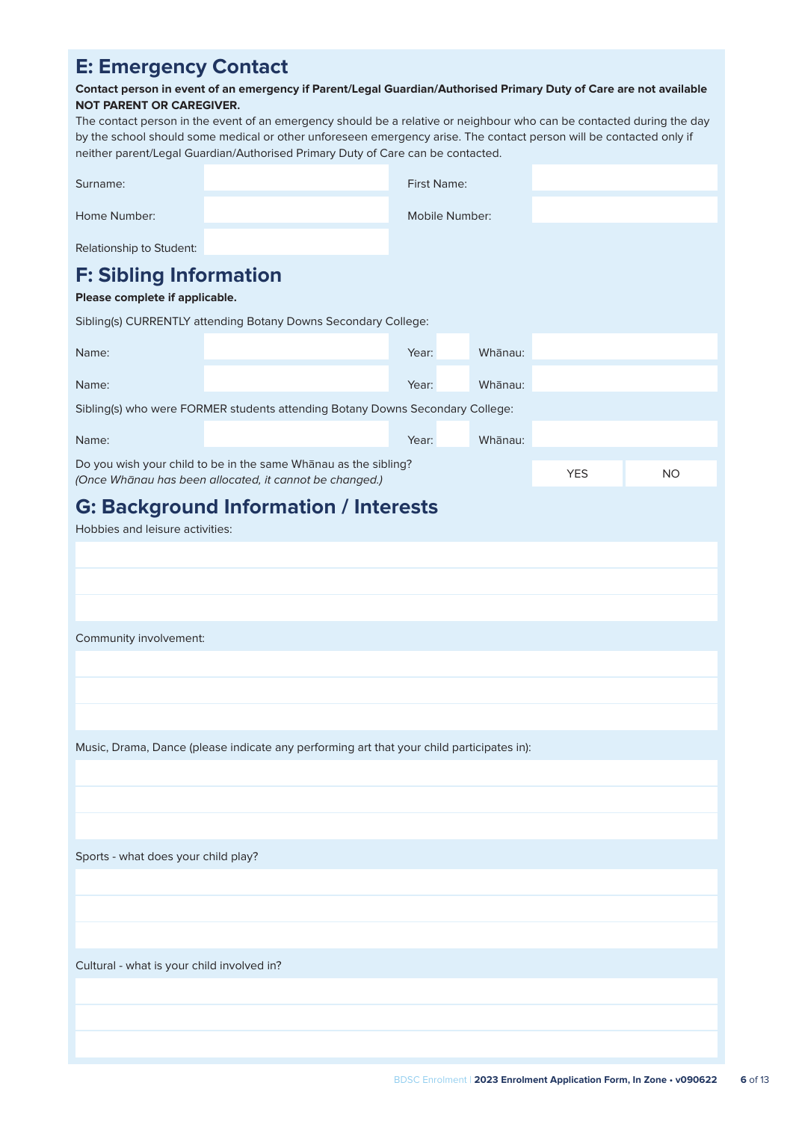### **E: Emergency Contact**

#### **Contact person in event of an emergency if Parent/Legal Guardian/Authorised Primary Duty of Care are not available NOT PARENT OR CAREGIVER.**

The contact person in the event of an emergency should be a relative or neighbour who can be contacted during the day by the school should some medical or other unforeseen emergency arise. The contact person will be contacted only if neither parent/Legal Guardian/Authorised Primary Duty of Care can be contacted.

| Surname:                                                        |                                                                                                                            | First Name: |         |            |           |  |  |  |
|-----------------------------------------------------------------|----------------------------------------------------------------------------------------------------------------------------|-------------|---------|------------|-----------|--|--|--|
| Home Number:                                                    | Mobile Number:                                                                                                             |             |         |            |           |  |  |  |
| Relationship to Student:                                        |                                                                                                                            |             |         |            |           |  |  |  |
| <b>F: Sibling Information</b><br>Please complete if applicable. |                                                                                                                            |             |         |            |           |  |  |  |
|                                                                 | Sibling(s) CURRENTLY attending Botany Downs Secondary College:                                                             |             |         |            |           |  |  |  |
| Name:                                                           |                                                                                                                            | Year:       | Whanau: |            |           |  |  |  |
| Name:                                                           |                                                                                                                            | Year:       | Whanau: |            |           |  |  |  |
|                                                                 | Sibling(s) who were FORMER students attending Botany Downs Secondary College:                                              |             |         |            |           |  |  |  |
| Name:                                                           |                                                                                                                            | Year:       | Whanau: |            |           |  |  |  |
|                                                                 | Do you wish your child to be in the same Whanau as the sibling?<br>(Once Whānau has been allocated, it cannot be changed.) |             |         | <b>YES</b> | <b>NO</b> |  |  |  |
|                                                                 | <b>G: Background Information / Interests</b>                                                                               |             |         |            |           |  |  |  |
| Hobbies and leisure activities:                                 |                                                                                                                            |             |         |            |           |  |  |  |
|                                                                 |                                                                                                                            |             |         |            |           |  |  |  |
|                                                                 |                                                                                                                            |             |         |            |           |  |  |  |
|                                                                 |                                                                                                                            |             |         |            |           |  |  |  |
| Community involvement:                                          |                                                                                                                            |             |         |            |           |  |  |  |
|                                                                 |                                                                                                                            |             |         |            |           |  |  |  |
|                                                                 |                                                                                                                            |             |         |            |           |  |  |  |
|                                                                 |                                                                                                                            |             |         |            |           |  |  |  |
|                                                                 | Music, Drama, Dance (please indicate any performing art that your child participates in):                                  |             |         |            |           |  |  |  |
|                                                                 |                                                                                                                            |             |         |            |           |  |  |  |
|                                                                 |                                                                                                                            |             |         |            |           |  |  |  |
|                                                                 |                                                                                                                            |             |         |            |           |  |  |  |
| Sports - what does your child play?                             |                                                                                                                            |             |         |            |           |  |  |  |
|                                                                 |                                                                                                                            |             |         |            |           |  |  |  |
|                                                                 |                                                                                                                            |             |         |            |           |  |  |  |
|                                                                 |                                                                                                                            |             |         |            |           |  |  |  |
| Cultural - what is your child involved in?                      |                                                                                                                            |             |         |            |           |  |  |  |
|                                                                 |                                                                                                                            |             |         |            |           |  |  |  |
|                                                                 |                                                                                                                            |             |         |            |           |  |  |  |
|                                                                 |                                                                                                                            |             |         |            |           |  |  |  |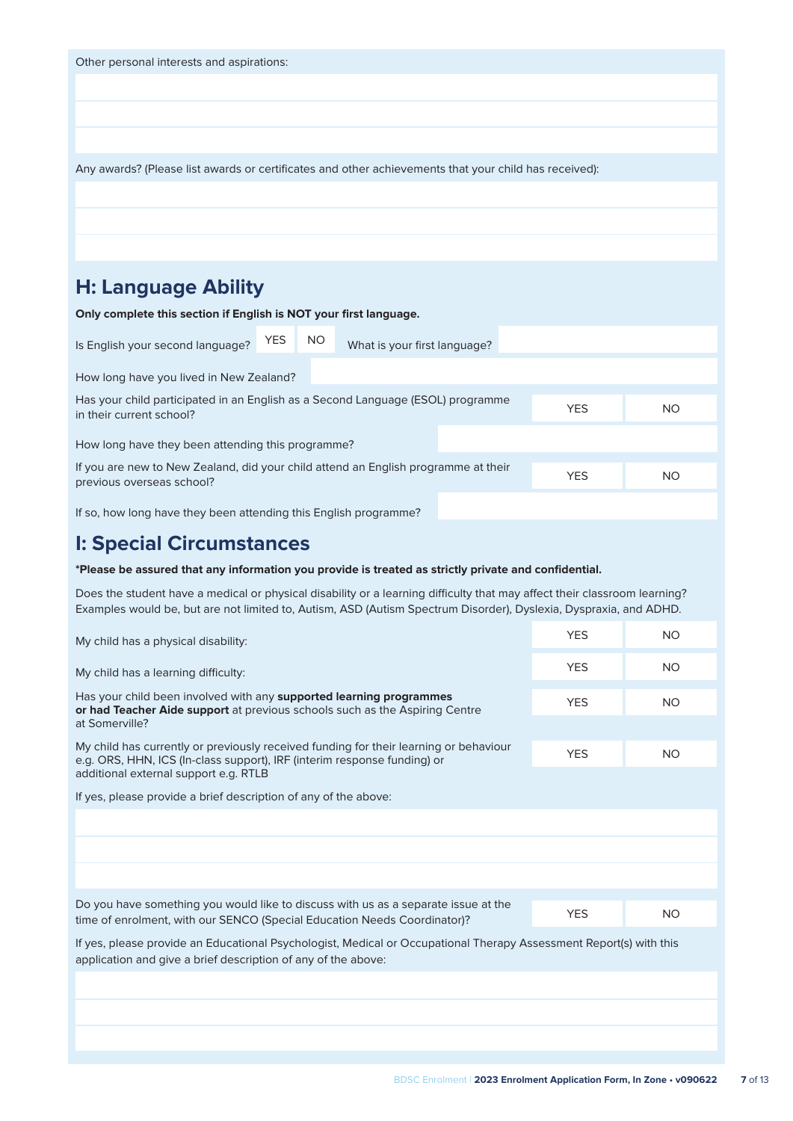| Other personal interests and aspirations:                                                             |            |           |                              |  |  |  |
|-------------------------------------------------------------------------------------------------------|------------|-----------|------------------------------|--|--|--|
|                                                                                                       |            |           |                              |  |  |  |
|                                                                                                       |            |           |                              |  |  |  |
|                                                                                                       |            |           |                              |  |  |  |
| Any awards? (Please list awards or certificates and other achievements that your child has received): |            |           |                              |  |  |  |
|                                                                                                       |            |           |                              |  |  |  |
|                                                                                                       |            |           |                              |  |  |  |
|                                                                                                       |            |           |                              |  |  |  |
| <b>H: Language Ability</b>                                                                            |            |           |                              |  |  |  |
| Only complete this section if English is NOT your first language.                                     |            |           |                              |  |  |  |
| Is English your second language?                                                                      | <b>YES</b> | <b>NO</b> | What is your first language? |  |  |  |
|                                                                                                       |            |           |                              |  |  |  |

How long have you lived in New Zealand? Has your child participated in an English as a Second Language (ESOL) programme Their current school?<br>
Their current school? No

How long have they been attending this programme?

If you are new to New Zealand, did your child attend an English programme at their previous overseas school? No was also had been all the previous overseas school?

If so, how long have they been attending this English programme?

### **I: Special Circumstances**

#### **\*Please be assured that any information you provide is treated as strictly private and confidential.**

Does the student have a medical or physical disability or a learning difficulty that may affect their classroom learning? Examples would be, but are not limited to, Autism, ASD (Autism Spectrum Disorder), Dyslexia, Dyspraxia, and ADHD.

| My child has a physical disability:                                                                                                                                                                        | <b>YES</b> | <b>NO</b> |
|------------------------------------------------------------------------------------------------------------------------------------------------------------------------------------------------------------|------------|-----------|
| My child has a learning difficulty:                                                                                                                                                                        | <b>YES</b> | NO.       |
| Has your child been involved with any <b>supported learning programmes</b><br>or had Teacher Aide support at previous schools such as the Aspiring Centre                                                  | <b>YES</b> | <b>NO</b> |
| at Somerville?                                                                                                                                                                                             |            |           |
| My child has currently or previously received funding for their learning or behaviour<br>e.g. ORS, HHN, ICS (In-class support), IRF (interim response funding) or<br>additional external support e.g. RTLB | <b>YES</b> | NO.       |
|                                                                                                                                                                                                            |            |           |
| If yes, please provide a brief description of any of the above:                                                                                                                                            |            |           |
|                                                                                                                                                                                                            |            |           |
|                                                                                                                                                                                                            |            |           |
|                                                                                                                                                                                                            |            |           |
| Do you have something you would like to discuss with us as a separate issue at the                                                                                                                         |            |           |
| time of enrolment, with our SENCO (Special Education Needs Coordinator)?                                                                                                                                   | <b>YES</b> | <b>NO</b> |
| If yes, please provide an Educational Psychologist, Medical or Occupational Therapy Assessment Report(s) with this<br>application and give a brief description of any of the above:                        |            |           |
|                                                                                                                                                                                                            |            |           |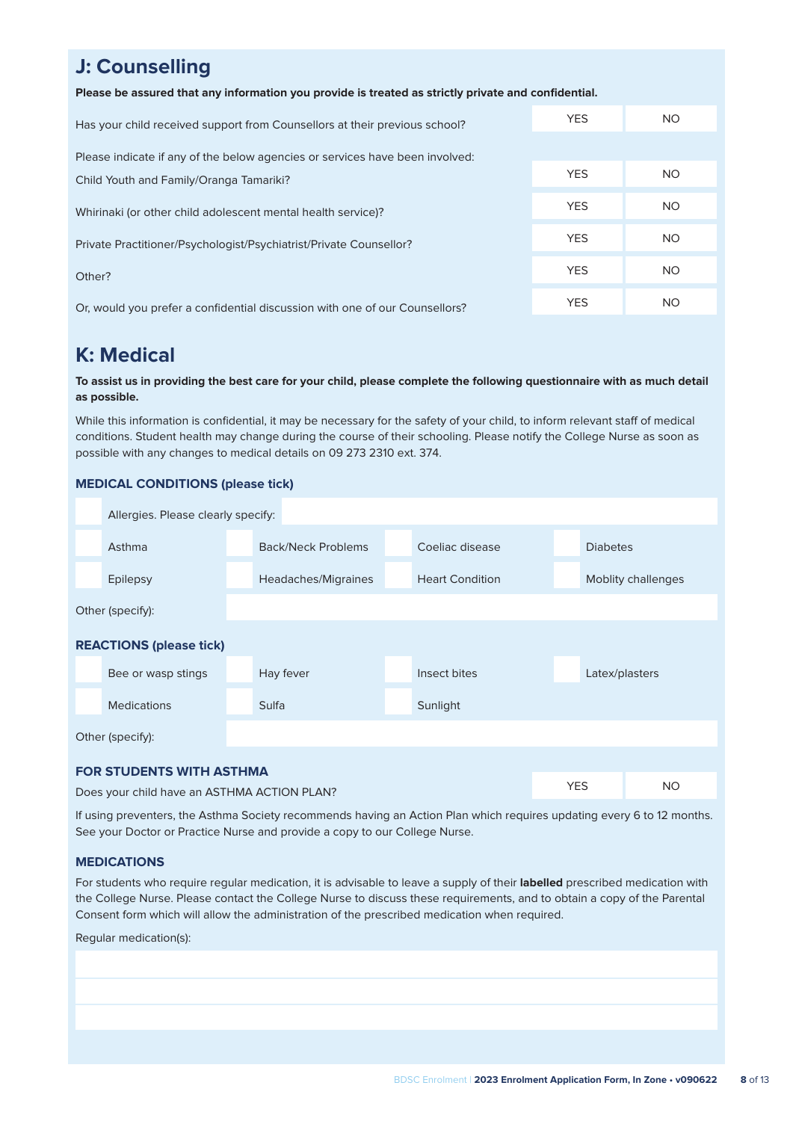### **J: Counselling**

**Please be assured that any information you provide is treated as strictly private and confidential.**

| Has your child received support from Counsellors at their previous school?   | <b>YES</b> | <b>NO</b> |
|------------------------------------------------------------------------------|------------|-----------|
| Please indicate if any of the below agencies or services have been involved: |            |           |
| Child Youth and Family/Oranga Tamariki?                                      | <b>YES</b> | <b>NO</b> |
| Whirinaki (or other child adolescent mental health service)?                 | <b>YES</b> | NO.       |
| Private Practitioner/Psychologist/Psychiatrist/Private Counsellor?           | <b>YES</b> | NO.       |
| Other?                                                                       | <b>YES</b> | NO.       |
| Or, would you prefer a confidential discussion with one of our Counsellors?  | <b>YES</b> | <b>NO</b> |

### **K: Medical**

#### **To assist us in providing the best care for your child, please complete the following questionnaire with as much detail as possible.**

While this information is confidential, it may be necessary for the safety of your child, to inform relevant staff of medical conditions. Student health may change during the course of their schooling. Please notify the College Nurse as soon as possible with any changes to medical details on 09 273 2310 ext. 374.

#### **MEDICAL CONDITIONS (please tick)**

| Allergies. Please clearly specify:          |              |                     |                        |            |                 |                    |
|---------------------------------------------|--------------|---------------------|------------------------|------------|-----------------|--------------------|
| Asthma                                      |              | Back/Neck Problems  | Coeliac disease        |            | <b>Diabetes</b> |                    |
| <b>Epilepsy</b>                             |              | Headaches/Migraines | <b>Heart Condition</b> |            |                 | Moblity challenges |
| Other (specify):                            |              |                     |                        |            |                 |                    |
| <b>REACTIONS (please tick)</b>              |              |                     |                        |            |                 |                    |
| Bee or wasp stings                          |              | Hay fever           | Insect bites           |            | Latex/plasters  |                    |
| <b>Medications</b>                          | <b>Sulfa</b> |                     | Sunlight               |            |                 |                    |
| Other (specify):                            |              |                     |                        |            |                 |                    |
| <b>FOR STUDENTS WITH ASTHMA</b>             |              |                     |                        |            |                 |                    |
| Does your child have an ASTHMA ACTION PLAN? |              |                     |                        | <b>YES</b> |                 | <b>NO</b>          |

If using preventers, the Asthma Society recommends having an Action Plan which requires updating every 6 to 12 months. See your Doctor or Practice Nurse and provide a copy to our College Nurse.

#### **MEDICATIONS**

For students who require regular medication, it is advisable to leave a supply of their **labelled** prescribed medication with the College Nurse. Please contact the College Nurse to discuss these requirements, and to obtain a copy of the Parental Consent form which will allow the administration of the prescribed medication when required.

#### Regular medication(s):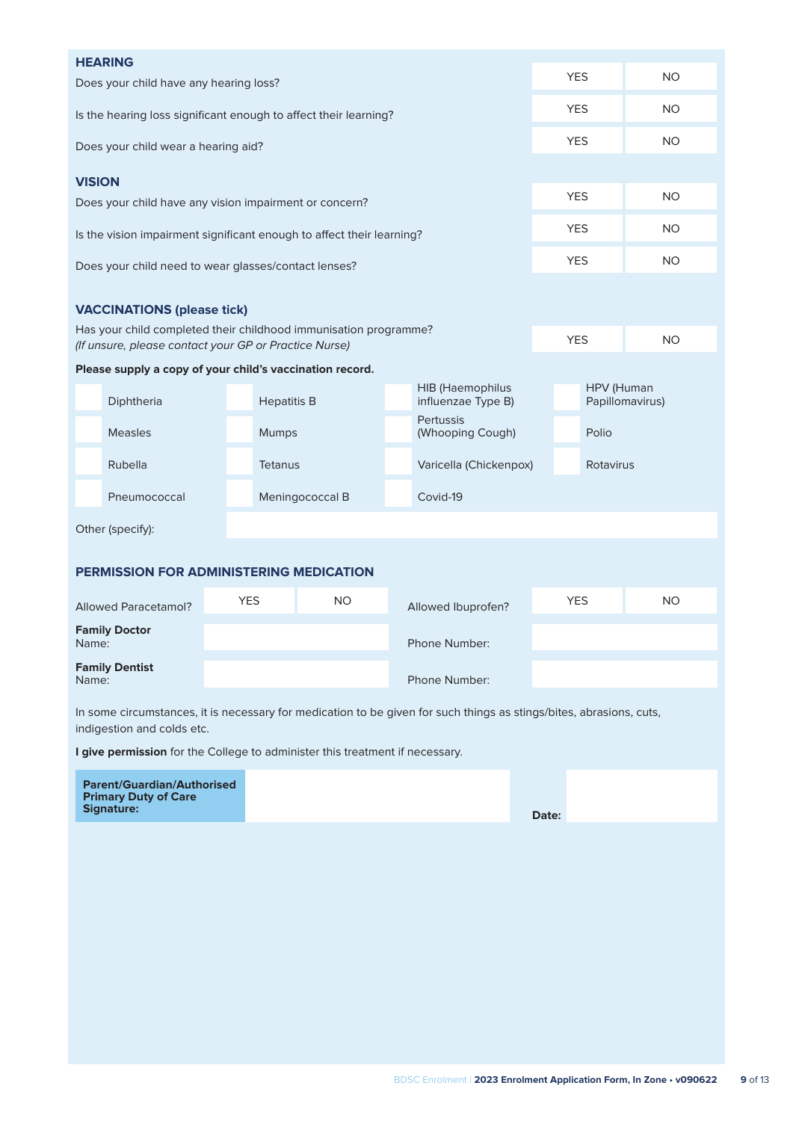| <b>YES</b><br>Does your child have any hearing loss?<br><b>YES</b><br><b>NO</b><br>Is the hearing loss significant enough to affect their learning?  | <b>NO</b> |  |  |  |  |  |  |  |  |
|------------------------------------------------------------------------------------------------------------------------------------------------------|-----------|--|--|--|--|--|--|--|--|
|                                                                                                                                                      |           |  |  |  |  |  |  |  |  |
|                                                                                                                                                      |           |  |  |  |  |  |  |  |  |
| <b>YES</b><br>Does your child wear a hearing aid?                                                                                                    | <b>NO</b> |  |  |  |  |  |  |  |  |
| <b>VISION</b>                                                                                                                                        |           |  |  |  |  |  |  |  |  |
| <b>YES</b><br><b>NO</b><br>Does your child have any vision impairment or concern?                                                                    |           |  |  |  |  |  |  |  |  |
| <b>YES</b><br><b>NO</b><br>Is the vision impairment significant enough to affect their learning?                                                     |           |  |  |  |  |  |  |  |  |
| <b>YES</b><br><b>NO</b><br>Does your child need to wear glasses/contact lenses?                                                                      |           |  |  |  |  |  |  |  |  |
| <b>VACCINATIONS (please tick)</b>                                                                                                                    |           |  |  |  |  |  |  |  |  |
| Has your child completed their childhood immunisation programme?<br><b>YES</b><br><b>NO</b><br>(If unsure, please contact your GP or Practice Nurse) |           |  |  |  |  |  |  |  |  |
| Please supply a copy of your child's vaccination record.                                                                                             |           |  |  |  |  |  |  |  |  |
| <b>HIB</b> (Haemophilus<br>HPV (Human<br>Diphtheria<br><b>Hepatitis B</b><br>influenzae Type B)<br>Papillomavirus)                                   |           |  |  |  |  |  |  |  |  |
| <b>Pertussis</b><br><b>Measles</b><br><b>Mumps</b><br>(Whooping Cough)<br>Polio                                                                      |           |  |  |  |  |  |  |  |  |
| Rubella<br><b>Tetanus</b><br>Varicella (Chickenpox)<br>Rotavirus                                                                                     |           |  |  |  |  |  |  |  |  |
| Covid-19<br>Pneumococcal<br>Meningococcal B                                                                                                          |           |  |  |  |  |  |  |  |  |
| Other (specify):                                                                                                                                     |           |  |  |  |  |  |  |  |  |
| PERMISSION FOR ADMINISTERING MEDICATION                                                                                                              |           |  |  |  |  |  |  |  |  |
|                                                                                                                                                      |           |  |  |  |  |  |  |  |  |
| <b>YES</b><br><b>NO</b><br><b>YES</b><br><b>Allowed Paracetamol?</b><br>Allowed Ibuprofen?                                                           | <b>NO</b> |  |  |  |  |  |  |  |  |
| <b>Family Doctor</b><br>Name:<br>Phone Number:                                                                                                       |           |  |  |  |  |  |  |  |  |
| <b>Family Dentist</b><br>Phone Number:<br>Name:                                                                                                      |           |  |  |  |  |  |  |  |  |
| In some circumstances, it is necessary for medication to be given for such things as stings/bites, abrasions, cuts,<br>indigestion and colds etc.    |           |  |  |  |  |  |  |  |  |
| I give permission for the College to administer this treatment if necessary.                                                                         |           |  |  |  |  |  |  |  |  |
| <b>Parent/Guardian/Authorised</b><br><b>Primary Duty of Care</b><br>Signature:                                                                       |           |  |  |  |  |  |  |  |  |
| Date:                                                                                                                                                |           |  |  |  |  |  |  |  |  |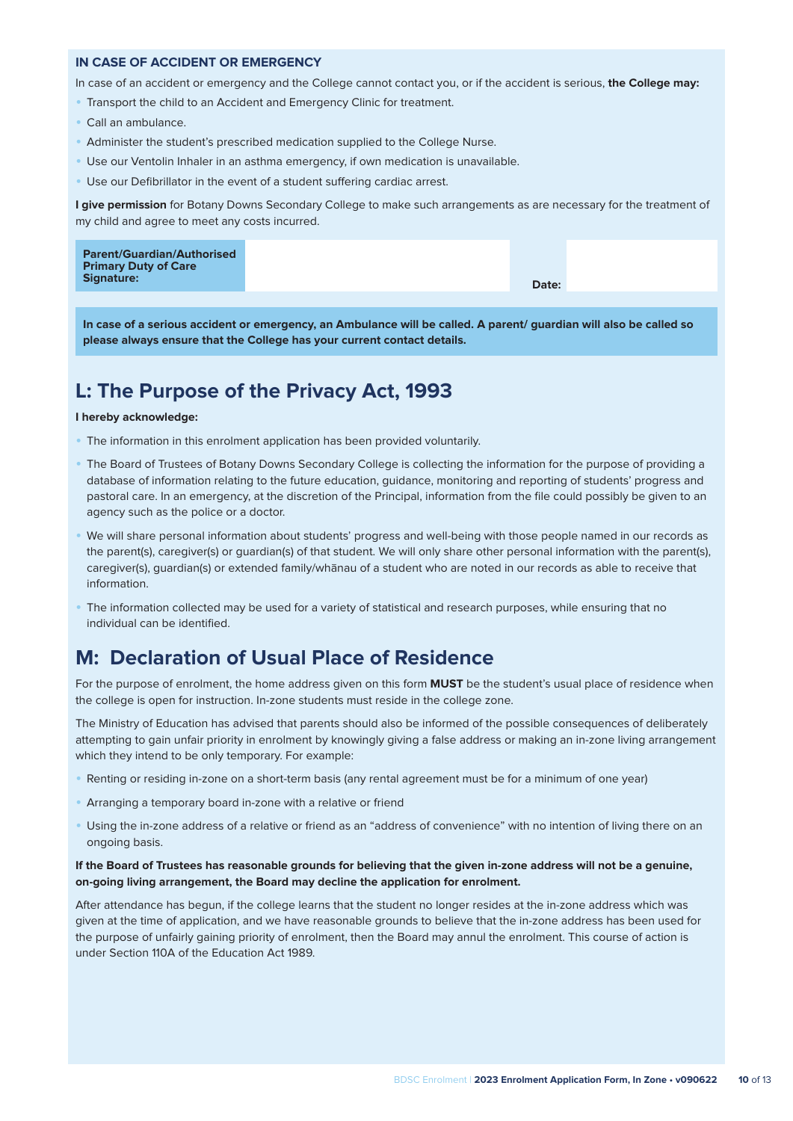#### **IN CASE OF ACCIDENT OR EMERGENCY**

In case of an accident or emergency and the College cannot contact you, or if the accident is serious, **the College may:**

- Transport the child to an Accident and Emergency Clinic for treatment.
- Call an ambulance.
- Administer the student's prescribed medication supplied to the College Nurse.
- Use our Ventolin Inhaler in an asthma emergency, if own medication is unavailable.
- Use our Defibrillator in the event of a student suffering cardiac arrest.

**I give permission** for Botany Downs Secondary College to make such arrangements as are necessary for the treatment of my child and agree to meet any costs incurred.

|--|

**In case of a serious accident or emergency, an Ambulance will be called. A parent/ guardian will also be called so please always ensure that the College has your current contact details.**

### **L: The Purpose of the Privacy Act, 1993**

#### **I hereby acknowledge:**

- The information in this enrolment application has been provided voluntarily.
- The Board of Trustees of Botany Downs Secondary College is collecting the information for the purpose of providing a database of information relating to the future education, guidance, monitoring and reporting of students' progress and pastoral care. In an emergency, at the discretion of the Principal, information from the file could possibly be given to an agency such as the police or a doctor.
- We will share personal information about students' progress and well-being with those people named in our records as the parent(s), caregiver(s) or guardian(s) of that student. We will only share other personal information with the parent(s), caregiver(s), guardian(s) or extended family/whānau of a student who are noted in our records as able to receive that information.
- The information collected may be used for a variety of statistical and research purposes, while ensuring that no individual can be identified.

### **M: Declaration of Usual Place of Residence**

For the purpose of enrolment, the home address given on this form **MUST** be the student's usual place of residence when the college is open for instruction. In-zone students must reside in the college zone.

The Ministry of Education has advised that parents should also be informed of the possible consequences of deliberately attempting to gain unfair priority in enrolment by knowingly giving a false address or making an in-zone living arrangement which they intend to be only temporary. For example:

- Renting or residing in-zone on a short-term basis (any rental agreement must be for a minimum of one year)
- Arranging a temporary board in-zone with a relative or friend
- Using the in-zone address of a relative or friend as an "address of convenience" with no intention of living there on an ongoing basis.

#### **If the Board of Trustees has reasonable grounds for believing that the given in-zone address will not be a genuine, on-going living arrangement, the Board may decline the application for enrolment.**

After attendance has begun, if the college learns that the student no longer resides at the in-zone address which was given at the time of application, and we have reasonable grounds to believe that the in-zone address has been used for the purpose of unfairly gaining priority of enrolment, then the Board may annul the enrolment. This course of action is under Section 110A of the Education Act 1989.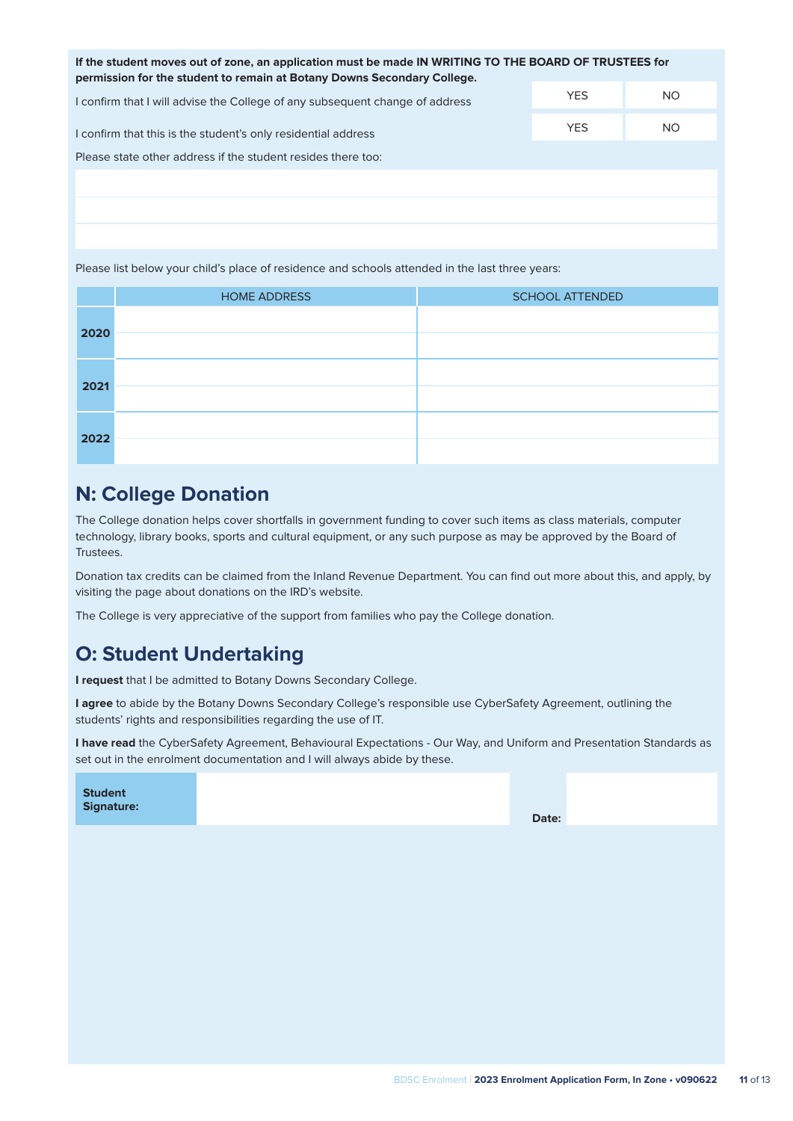| If the student moves out of zone, an application must be made IN WRITING TO THE BOARD OF TRUSTEES for<br>permission for the student to remain at Botany Downs Secondary College. |            |     |  |  |  |
|----------------------------------------------------------------------------------------------------------------------------------------------------------------------------------|------------|-----|--|--|--|
| I confirm that I will advise the College of any subsequent change of address                                                                                                     | <b>YES</b> | NO. |  |  |  |
| I confirm that this is the student's only residential address                                                                                                                    | <b>YES</b> | NO. |  |  |  |
| Please state other address if the student resides there too:                                                                                                                     |            |     |  |  |  |

Please list below your child's place of residence and schools attended in the last three years:

|      | <b>HOME ADDRESS</b> | <b>SCHOOL ATTENDED</b> |
|------|---------------------|------------------------|
| 2020 |                     |                        |
|      |                     |                        |
|      |                     |                        |
| 2021 |                     |                        |
|      |                     |                        |
| 2022 |                     |                        |

### **N: College Donation**

The College donation helps cover shortfalls in government funding to cover such items as class materials, computer technology, library books, sports and cultural equipment, or any such purpose as may be approved by the Board of Trustees.

Donation tax credits can be claimed from the Inland Revenue Department. You can find out more about this, and apply, by visiting the page about donations on the IRD's website.

The College is very appreciative of the support from families who pay the College donation.

### **O: Student Undertaking**

**I request** that I be admitted to Botany Downs Secondary College.

**I agree** to abide by the Botany Downs Secondary College's responsible use CyberSafety Agreement, outlining the students' rights and responsibilities regarding the use of IT.

**I have read** the CyberSafety Agreement, Behavioural Expectations - Our Way, and Uniform and Presentation Standards as set out in the enrolment documentation and I will always abide by these.

| Date: |
|-------|
|-------|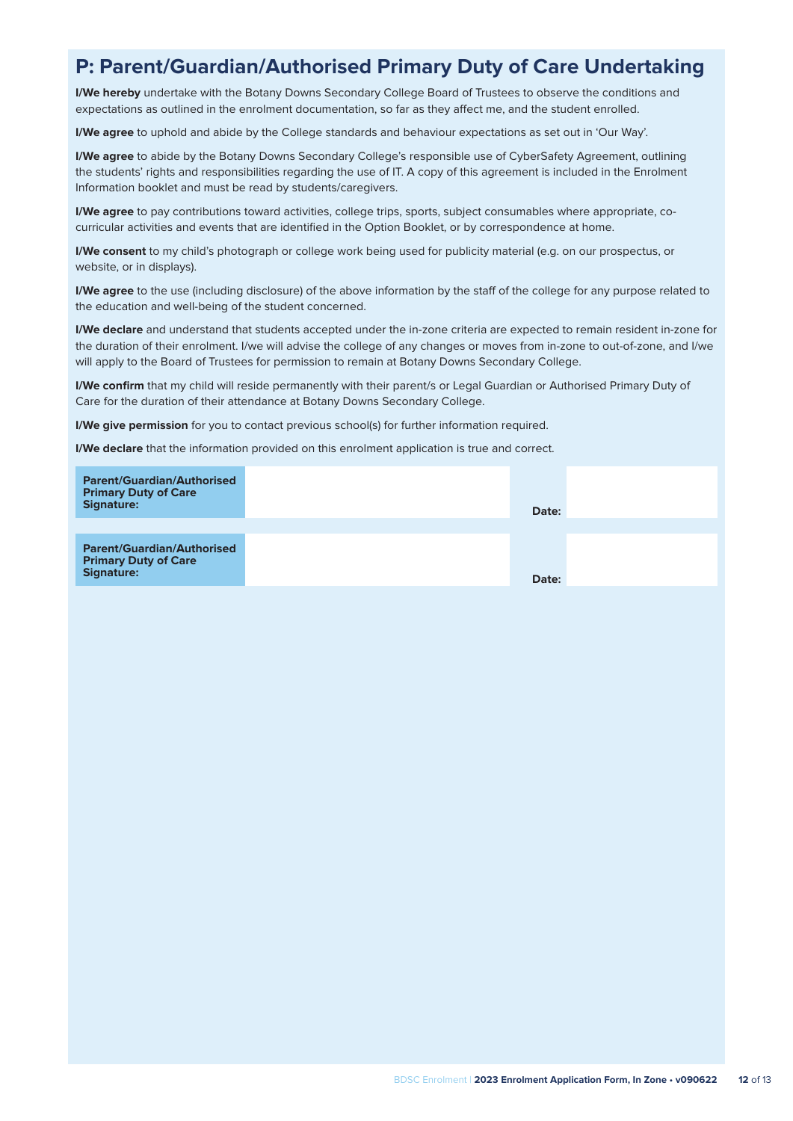### **P: Parent/Guardian/Authorised Primary Duty of Care Undertaking**

**I/We hereby** undertake with the Botany Downs Secondary College Board of Trustees to observe the conditions and expectations as outlined in the enrolment documentation, so far as they affect me, and the student enrolled.

**I/We agree** to uphold and abide by the College standards and behaviour expectations as set out in 'Our Way'.

**I/We agree** to abide by the Botany Downs Secondary College's responsible use of CyberSafety Agreement, outlining the students' rights and responsibilities regarding the use of IT. A copy of this agreement is included in the Enrolment Information booklet and must be read by students/caregivers.

**I/We agree** to pay contributions toward activities, college trips, sports, subject consumables where appropriate, cocurricular activities and events that are identified in the Option Booklet, or by correspondence at home.

**I/We consent** to my child's photograph or college work being used for publicity material (e.g. on our prospectus, or website, or in displays).

**I/We agree** to the use (including disclosure) of the above information by the staff of the college for any purpose related to the education and well-being of the student concerned.

**I/We declare** and understand that students accepted under the in-zone criteria are expected to remain resident in-zone for the duration of their enrolment. I/we will advise the college of any changes or moves from in-zone to out-of-zone, and I/we will apply to the Board of Trustees for permission to remain at Botany Downs Secondary College.

**I/We confirm** that my child will reside permanently with their parent/s or Legal Guardian or Authorised Primary Duty of Care for the duration of their attendance at Botany Downs Secondary College.

**I/We give permission** for you to contact previous school(s) for further information required.

**I/We declare** that the information provided on this enrolment application is true and correct.

| <b>Parent/Guardian/Authorised</b><br><b>Primary Duty of Care</b><br>Signature:        | Date: |  |
|---------------------------------------------------------------------------------------|-------|--|
| <b>Parent/Guardian/Authorised</b><br><b>Primary Duty of Care</b><br><b>Signature:</b> | Date: |  |